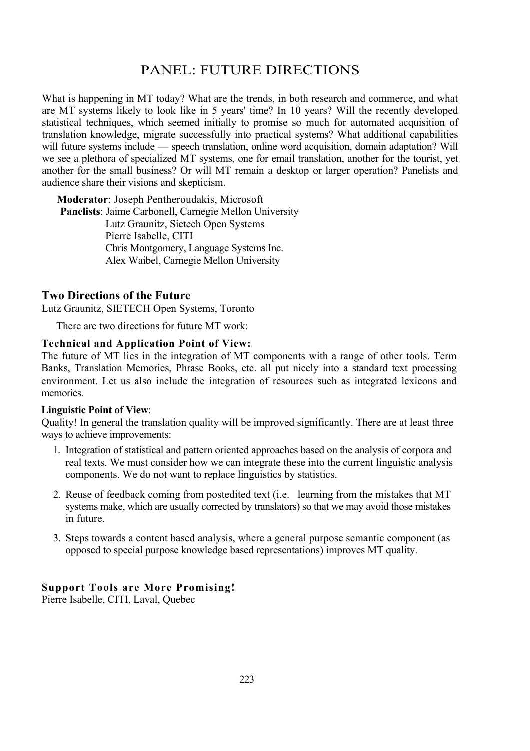# PANEL: FUTURE DIRECTIONS

What is happening in MT today? What are the trends, in both research and commerce, and what are MT systems likely to look like in 5 years' time? In 10 years? Will the recently developed statistical techniques, which seemed initially to promise so much for automated acquisition of translation knowledge, migrate successfully into practical systems? What additional capabilities will future systems include — speech translation, online word acquisition, domain adaptation? Will we see a plethora of specialized MT systems, one for email translation, another for the tourist, yet another for the small business? Or will MT remain a desktop or larger operation? Panelists and audience share their visions and skepticism.

**Moderator**: Joseph Pentheroudakis, Microsoft **Panelists**: Jaime Carbonell, Carnegie Mellon University Lutz Graunitz, Sietech Open Systems Pierre Isabelle, CITI Chris Montgomery, Language Systems Inc. Alex Waibel, Carnegie Mellon University

# **Two Directions of the Future**

Lutz Graunitz, SIETECH Open Systems, Toronto

There are two directions for future MT work:

#### **Technical and Application Point of View:**

The future of MT lies in the integration of MT components with a range of other tools. Term Banks, Translation Memories, Phrase Books, etc. all put nicely into a standard text processing environment. Let us also include the integration of resources such as integrated lexicons and memories.

## **Linguistic Point of View**:

Quality! In general the translation quality will be improved significantly. There are at least three ways to achieve improvements:

- 1. Integration of statistical and pattern oriented approaches based on the analysis of corpora and real texts. We must consider how we can integrate these into the current linguistic analysis components. We do not want to replace linguistics by statistics.
- 2. Reuse of feedback coming from postedited text (i.e. learning from the mistakes that MT systems make, which are usually corrected by translators) so that we may avoid those mistakes in future.
- 3. Steps towards a content based analysis, where a general purpose semantic component (as opposed to special purpose knowledge based representations) improves MT quality.

## **Support Tools are More Promising!**

Pierre Isabelle, CITI, Laval, Quebec